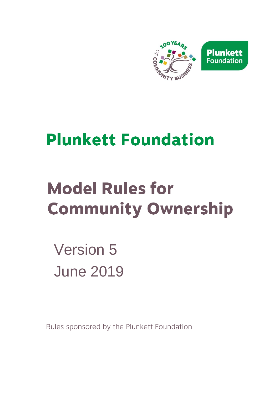

# **Plunkett Foundation**

# **Model Rules for Community Ownership**

Version 5 June 2019

Rules sponsored by the Plunkett Foundation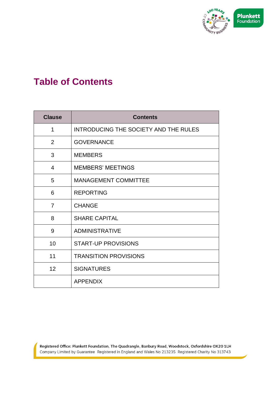

# **Table of Contents**

| <b>Clause</b>  | <b>Contents</b>                       |
|----------------|---------------------------------------|
| 1              | INTRODUCING THE SOCIETY AND THE RULES |
| 2              | <b>GOVERNANCE</b>                     |
| 3              | <b>MEMBERS</b>                        |
| $\overline{4}$ | <b>MEMBERS' MEETINGS</b>              |
| 5              | <b>MANAGEMENT COMMITTEE</b>           |
| 6              | <b>REPORTING</b>                      |
| $\overline{7}$ | <b>CHANGE</b>                         |
| 8              | <b>SHARE CAPITAL</b>                  |
| 9              | <b>ADMINISTRATIVE</b>                 |
| 10             | <b>START-UP PROVISIONS</b>            |
| 11             | <b>TRANSITION PROVISIONS</b>          |
| 12             | <b>SIGNATURES</b>                     |
|                | <b>APPENDIX</b>                       |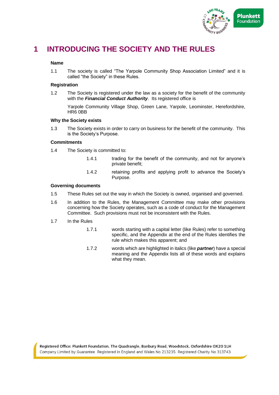

# **1 INTRODUCING THE SOCIETY AND THE RULES**

#### **Name**

1.1 The society is called "The Yarpole Community Shop Association Limited" and it is called "the Society" in these Rules.

#### **Registration**

1.2 The Society is registered under the law as a society for the benefit of the community with the *Financial Conduct Authority*. Its registered office is

Yarpole Community Village Shop, Green Lane, Yarpole, Leominster, Herefordshire, HR6 0BB

#### **Why the Society exists**

1.3 The Society exists in order to carry on business for the benefit of the community. This is the Society's Purpose.

#### **Commitments**

- 1.4 The Society is committed to:
	- 1.4.1 trading for the benefit of the community, and not for anyone's private benefit;
	- 1.4.2 retaining profits and applying profit to advance the Society's Purpose.

#### **Governing documents**

- 1.5 These Rules set out the way in which the Society is owned, organised and governed.
- 1.6 In addition to the Rules, the Management Committee may make other provisions concerning how the Society operates, such as a code of conduct for the Management Committee. Such provisions must not be inconsistent with the Rules.
- 1.7 In the Rules
	- 1.7.1 words starting with a capital letter (like Rules) refer to something specific, and the Appendix at the end of the Rules identifies the rule which makes this apparent; and
	- 1.7.2 words which are highlighted in italics (like *partner*) have a special meaning and the Appendix lists all of these words and explains what they mean.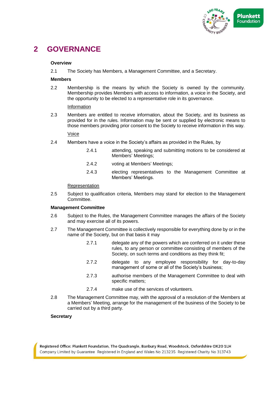

# **2 GOVERNANCE**

#### **Overview**

2.1 The Society has Members, a Management Committee, and a Secretary.

#### **Members**

2.2 Membership is the means by which the Society is owned by the community. Membership provides Members with access to information, a voice in the Society, and the opportunity to be elected to a representative role in its governance.

#### Information

2.3 Members are entitled to receive information, about the Society, and its business as provided for in the rules. Information may be sent or supplied by electronic means to those members providing prior consent to the Society to receive information in this way.

#### Voice

- 2.4 Members have a voice in the Society's affairs as provided in the Rules, by
	- 2.4.1 attending, speaking and submitting motions to be considered at Members' Meetings;
	- 2.4.2 voting at Members' Meetings;
	- 2.4.3 electing representatives to the Management Committee at Members' Meetings.

#### Representation

2.5 Subject to qualification criteria, Members may stand for election to the Management Committee.

#### **Management Committee**

- 2.6 Subject to the Rules, the Management Committee manages the affairs of the Society and may exercise all of its powers.
- 2.7 The Management Committee is collectively responsible for everything done by or in the name of the Society, but on that basis it may
	- 2.7.1 delegate any of the powers which are conferred on it under these rules, to any person or committee consisting of members of the Society, on such terms and conditions as they think fit;
	- 2.7.2 delegate to any employee responsibility for day-to-day management of some or all of the Society's business;
	- 2.7.3 authorise members of the Management Committee to deal with specific matters;
	- 2.7.4 make use of the services of volunteers.
- 2.8 The Management Committee may, with the approval of a resolution of the Members at a Members' Meeting, arrange for the management of the business of the Society to be carried out by a third party.

#### **Secretary**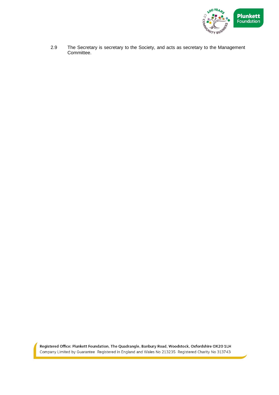

2.9 The Secretary is secretary to the Society, and acts as secretary to the Management Committee.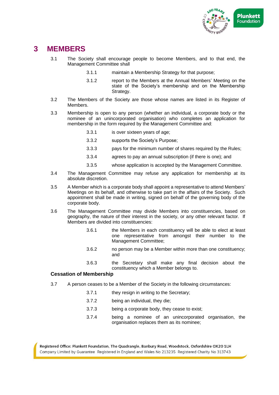

# **3 MEMBERS**

- 3.1 The Society shall encourage people to become Members, and to that end, the Management Committee shall
	- 3.1.1 maintain a Membership Strategy for that purpose;
	- 3.1.2 report to the Members at the Annual Members' Meeting on the state of the Society's membership and on the Membership Strategy.
- 3.2 The Members of the Society are those whose names are listed in its Register of Members.
- 3.3 Membership is open to any person (whether an individual, a corporate body or the nominee of an unincorporated organisation) who completes an application for membership in the form required by the Management Committee and:
	- 3.3.1 is over sixteen years of age;
	- 3.3.2 supports the Society's Purpose;
	- 3.3.3 pays for the minimum number of shares required by the Rules;
	- 3.3.4 agrees to pay an annual subscription (if there is one); and
	- 3.3.5 whose application is accepted by the Management Committee.
- 3.4 The Management Committee may refuse any application for membership at its absolute discretion.
- 3.5 A Member which is a corporate body shall appoint a representative to attend Members' Meetings on its behalf, and otherwise to take part in the affairs of the Society. Such appointment shall be made in writing, signed on behalf of the governing body of the corporate body.
- 3.6 The Management Committee may divide Members into constituencies, based on geography, the nature of their interest in the society, or any other relevant factor. If Members are divided into constituencies:
	- 3.6.1 the Members in each constituency will be able to elect at least one representative from amongst their number to the Management Committee;
	- 3.6.2 no person may be a Member within more than one constituency; and
	- 3.6.3 the Secretary shall make any final decision about the constituency which a Member belongs to.

## **Cessation of Membership**

- 3.7 A person ceases to be a Member of the Society in the following circumstances:
	- 3.7.1 they resign in writing to the Secretary:
	- 3.7.2 being an individual, they die;
	- 3.7.3 being a corporate body, they cease to exist;
	- 3.7.4 being a nominee of an unincorporated organisation, the organisation replaces them as its nominee;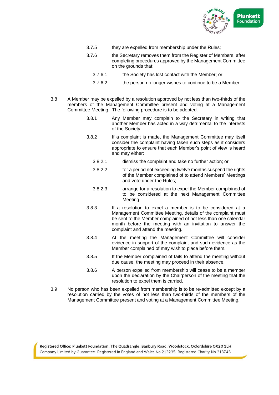

- 3.7.5 they are expelled from membership under the Rules;
- 3.7.6 the Secretary removes them from the Register of Members, after completing procedures approved by the Management Committee on the grounds that:
	- 3.7.6.1 the Society has lost contact with the Member; or
	- 3.7.6.2 the person no longer wishes to continue to be a Member.
- 3.8 A Member may be expelled by a resolution approved by not less than two-thirds of the members of the Management Committee present and voting at a Management Committee Meeting. The following procedure is to be adopted.
	- 3.8.1 Any Member may complain to the Secretary in writing that another Member has acted in a way detrimental to the interests of the Society.
	- 3.8.2 If a complaint is made, the Management Committee may itself consider the complaint having taken such steps as it considers appropriate to ensure that each Member's point of view is heard and may either:
		- 3.8.2.1 dismiss the complaint and take no further action; or
		- 3.8.2.2 for a period not exceeding twelve months suspend the rights of the Member complained of to attend Members' Meetings and vote under the Rules;
		- 3.8.2.3 arrange for a resolution to expel the Member complained of to be considered at the next Management Committee Meeting.
	- 3.8.3 If a resolution to expel a member is to be considered at a Management Committee Meeting, details of the complaint must be sent to the Member complained of not less than one calendar month before the meeting with an invitation to answer the complaint and attend the meeting.
	- 3.8.4 At the meeting the Management Committee will consider evidence in support of the complaint and such evidence as the Member complained of may wish to place before them.
	- 3.8.5 If the Member complained of fails to attend the meeting without due cause, the meeting may proceed in their absence.
	- 3.8.6 A person expelled from membership will cease to be a member upon the declaration by the Chairperson of the meeting that the resolution to expel them is carried.
- 3.9 No person who has been expelled from membership is to be re-admitted except by a resolution carried by the votes of not less than two-thirds of the members of the Management Committee present and voting at a Management Committee Meeting.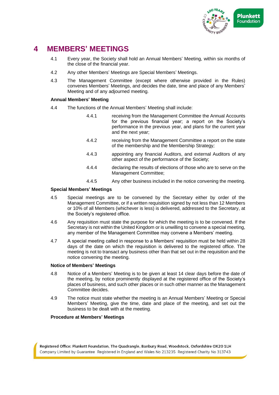

# **4 MEMBERS' MEETINGS**

- 4.1 Every year, the Society shall hold an Annual Members' Meeting, within six months of the close of the financial year.
- 4.2 Any other Members' Meetings are Special Members' Meetings.
- 4.3 The Management Committee (except where otherwise provided in the Rules) convenes Members' Meetings, and decides the date, time and place of any Members' Meeting and of any adjourned meeting.

## **Annual Members' Meeting**

- 4.4 The functions of the Annual Members' Meeting shall include:
	- 4.4.1 receiving from the Management Committee the Annual Accounts for the previous financial year; a report on the Society's performance in the previous year, and plans for the current year and the next year;
	- 4.4.2 receiving from the Management Committee a report on the state of the membership and the Membership Strategy*;*
	- 4.4.3 appointing any financial Auditors, and external Auditors of any other aspect of the performance of the Society;
	- 4.4.4 declaring the results of elections of those who are to serve on the Management Committee;
	- 4.4.5 Any other business included in the notice convening the meeting.

#### **Special Members' Meetings**

- 4.5 Special meetings are to be convened by the Secretary either by order of the Management Committee, or if a written requisition signed by not less than 12 Members or 10% of all Members (whichever is less) is delivered, addressed to the Secretary, at the Society's registered office.
- 4.6 Any requisition must state the purpose for which the meeting is to be convened. If the Secretary is not within the United Kingdom or is unwilling to convene a special meeting, any member of the Management Committee may convene a Members' meeting.
- 4.7 A special meeting called in response to a Members' requisition must be held within 28 days of the date on which the requisition is delivered to the registered office. The meeting is not to transact any business other than that set out in the requisition and the notice convening the meeting.

#### **Notice of Members' Meetings**

- 4.8 Notice of a Members' Meeting is to be given at least 14 clear days before the date of the meeting, by notice prominently displayed at the registered office of the Society's places of business, and such other places or in such other manner as the Management Committee decides.
- 4.9 The notice must state whether the meeting is an Annual Members' Meeting or Special Members' Meeting, give the time, date and place of the meeting, and set out the business to be dealt with at the meeting.

#### **Procedure at Members' Meetings**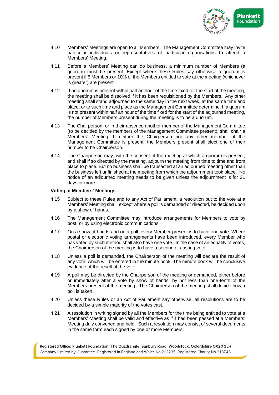

- 4.10 Members' Meetings are open to all Members. The Management Committee may invite particular individuals or representatives of particular organisations to attend a Members' Meeting.
- 4.11 Before a Members' Meeting can do business, a minimum number of Members (a quorum) must be present. Except where these Rules say otherwise a quorum is present if 5 Members or 10% of the Members entitled to vote at the meeting (whichever is greater) are present.
- 4.12 If no quorum is present within half an hour of the time fixed for the start of the meeting, the meeting shall be dissolved if it has been requisitioned by the Members. Any other meeting shall stand adjourned to the same day in the next week, at the same time and place, or to such time and place as the Management Committee determine. If a quorum is not present within half an hour of the time fixed for the start of the adjourned meeting, the number of Members present during the meeting is to be a quorum.
- 4.13 The Chairperson, or in their absence another member of the Management Committee (to be decided by the members of the Management Committee present), shall chair a Members' Meeting. If neither the Chairperson nor any other member of the Management Committee is present, the Members present shall elect one of their number to be Chairperson.
- 4.14 The Chairperson may, with the consent of the meeting at which a quorum is present, and shall if so directed by the meeting, adjourn the meeting from time to time and from place to place. But no business shall be transacted at an adjourned meeting other than the business left unfinished at the meeting from which the adjournment took place. No notice of an adjourned meeting needs to be given unless the adjournment is for 21 days or more.

#### **Voting at Members' Meetings**

- 4.15 Subject to these Rules and to any Act of Parliament, a resolution put to the vote at a Members' Meeting shall, except where a poll is demanded or directed, be decided upon by a show of hands.
- 4.16 The Management Committee may introduce arrangements for Members to vote by post, or by using electronic communications.
- 4.17 On a show of hands and on a poll, every Member present is to have one vote. Where postal or electronic voting arrangements have been introduced, every Member who has voted by such method shall also have one vote. In the case of an equality of votes, the Chairperson of the meeting is to have a second or casting vote.
- 4.18 Unless a poll is demanded, the Chairperson of the meeting will declare the result of any vote, which will be entered in the minute book. The minute book will be conclusive evidence of the result of the vote.
- 4.19 A poll may be directed by the Chairperson of the meeting or demanded, either before or immediately after a vote by show of hands, by not less than one-tenth of the Members present at the meeting. The Chairperson of the meeting shall decide how a poll is taken.
- 4.20 Unless these Rules or an Act of Parliament say otherwise, all resolutions are to be decided by a simple majority of the votes cast.
- 4.21 A resolution in writing signed by all the Members for the time being entitled to vote at a Members' Meeting shall be valid and effective as if it had been passed at a Members' Meeting duly convened and held. Such a resolution may consist of several documents in the same form each signed by one or more Members.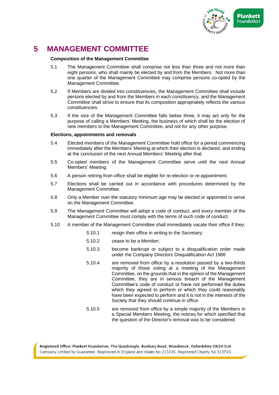

# **5 MANAGEMENT COMMITTEE**

#### **Composition of the Management Committee**

- 5.1 The Management Committee shall comprise not less than three and not more than eight persons, who shall mainly be elected by and from the Members. Not more than one quarter of the Management Committee may comprise persons co-opted by the Management Committee.
- 5.2 If Members are divided into constituencies, the Management Committee shall include persons elected by and from the Members in each constituency, and the Management Committee shall strive to ensure that its composition appropriately reflects the various constituencies.
- 5.3 If the size of the Management Committee falls below three, it may act only for the purpose of calling a Members' Meeting, the business of which shall be the election of new members to the Management Committee, and not for any other purpose.

#### **Elections, appointments and removals**

- 5.4 Elected members of the Management Committee hold office for a period commencing immediately after the Members' Meeting at which their election is declared, and ending at the conclusion of the next Annual Members' Meeting after that.
- 5.5 Co-opted members of the Management Committee serve until the next Annual Members' Meeting.
- 5.6 A person retiring from office shall be eligible for re-election or re-appointment.
- 5.7 Elections shall be carried out in accordance with procedures determined by the Management Committee.
- 5.8 Only a Member over the statutory minimum age may be elected or appointed to serve on the Management Committee.
- 5.9 The Management Committee will adopt a code of conduct, and every member of the Management Committee must comply with the terms of such code of conduct.
- 5.10 A member of the Management Committee shall immediately vacate their office if they:
	- 5.10.1 resign their office in writing to the Secretary;
	- 5.10.2 cease to be a Member;
	- 5.10.3 become bankrupt or subject to a disqualification order made under the Company Directors Disqualification Act 1986
	- 5.10.4 are removed from office by a resolution passed by a two-thirds majority of those voting at a meeting of the Management Committee, on the grounds that in the opinion of the Management Committee, they are in serious breach of the Management Committee's code of conduct or have not performed the duties which they agreed to perform or which they could reasonably have been expected to perform and it is not in the interests of the Society that they should continue in office.
	- 5.10.5 are removed from office by a simple majority of the Members in a Special Members Meeting, the notices for which specified that the question of the Director's removal was to be considered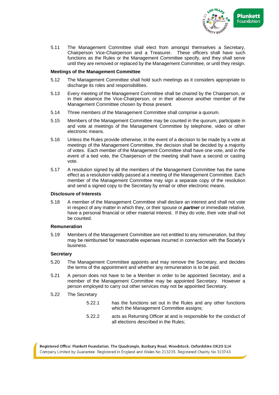

5.11 The Management Committee shall elect from amongst themselves a Secretary, Chairperson Vice-Chairperson and a Treasurer. These officers shall have such functions as the Rules or the Management Committee specify, and they shall serve until they are removed or replaced by the Management Committee, or until they resign.

#### **Meetings of the Management Committee**

- 5.12 The Management Committee shall hold such meetings as it considers appropriate to discharge its roles and responsibilities.
- 5.13 Every meeting of the Management Committee shall be chaired by the Chairperson, or in their absence the Vice-Chairperson, or in their absence another member of the Management Committee chosen by those present.
- 5.14 Three members of the Management Committee shall comprise a quorum.
- 5.15 Members of the Management Committee may be counted in the quorum, participate in and vote at meetings of the Management Committee by telephone, video or other electronic means.
- 5.16 Unless the Rules provide otherwise, in the event of a decision to be made by a vote at meetings of the Management Committee, the decision shall be decided by a majority of votes. Each member of the Management Committee shall have one vote, and in the event of a tied vote, the Chairperson of the meeting shall have a second or casting vote.
- 5.17 A resolution signed by all the members of the Management Committee has the same effect as a resolution validly passed at a meeting of the Management Committee. Each member of the Management Committee may sign a separate copy of the resolution and send a signed copy to the Secretary by email or other electronic means.

## **Disclosure of Interests**

5.18 A member of the Management Committee shall declare an interest and shall not vote in respect of any matter in which they, or their spouse or *partner* or immediate relative, have a personal financial or other material interest. If they do vote, their vote shall not be counted.

#### **Remuneration**

5.19 Members of the Management Committee are not entitled to any remuneration, but they may be reimbursed for reasonable expenses incurred in connection with the Society's business.

#### **Secretary**

- 5.20 The Management Committee appoints and may remove the Secretary, and decides the terms of the appointment and whether any remuneration is to be paid.
- 5.21 A person does not have to be a Member in order to be appointed Secretary, and a member of the Management Committee may be appointed Secretary. However a person employed to carry out other services may not be appointed Secretary.
- 5.22 The Secretary
	- 5.22.1 has the functions set out in the Rules and any other functions which the Management Committee assigns;
	- 5.22.2 acts as Returning Officer at and is responsible for the conduct of all elections described in the Rules;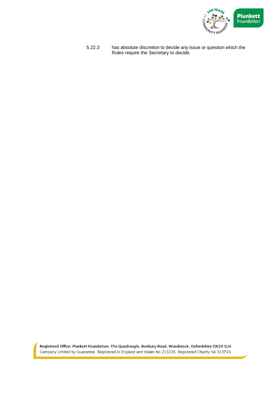

5.22.3 has absolute discretion to decide any issue or question which the Rules require the Secretary to decide.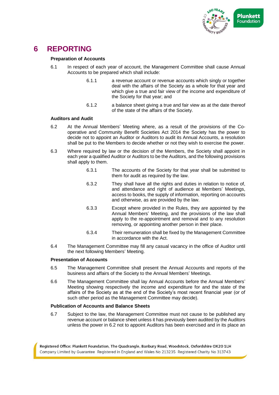

# **6 REPORTING**

#### **Preparation of Accounts**

- 6.1 In respect of each year of account, the Management Committee shall cause Annual Accounts to be prepared which shall include:
	- 6.1.1 a revenue account or revenue accounts which singly or together deal with the affairs of the Society as a whole for that year and which give a true and fair view of the income and expenditure of the Society for that year; and
	- 6.1.2 a balance sheet giving a true and fair view as at the date thereof of the state of the affairs of the Society.

#### **Auditors and Audit**

- 6.2 At the Annual Members' Meeting where, as a result of the provisions of the Cooperative and Community Benefit Societies Act 2014 the Society has the power to decide not to appoint an Auditor or Auditors to audit its Annual Accounts, a resolution shall be put to the Members to decide whether or not they wish to exercise the power.
- 6.3 Where required by law or the decision of the Members, the Society shall appoint in each year a qualified Auditor or Auditors to be the Auditors, and the following provisions shall apply to them.
	- 6.3.1 The accounts of the Society for that year shall be submitted to them for audit as required by the law.
	- 6.3.2 They shall have all the rights and duties in relation to notice of, and attendance and right of audience at Members' Meetings, access to books, the supply of information, reporting on accounts and otherwise, as are provided by the law.
	- 6.3.3 Except where provided in the Rules, they are appointed by the Annual Members' Meeting, and the provisions of the law shall apply to the re-appointment and removal and to any resolution removing, or appointing another person in their place.
	- 6.3.4 Their remuneration shall be fixed by the Management Committee in accordance with the Act.
- 6.4 The Management Committee may fill any casual vacancy in the office of Auditor until the next following Members' Meeting.

## **Presentation of Accounts**

- 6.5 The Management Committee shall present the Annual Accounts and reports of the business and affairs of the Society to the Annual Members' Meetings.
- 6.6 The Management Committee shall lay Annual Accounts before the Annual Members' Meeting showing respectively the income and expenditure for and the state of the affairs of the Society as at the end of the Society's most recent financial year (or of such other period as the Management Committee may decide).

#### **Publication of Accounts and Balance Sheets**

6.7 Subject to the law, the Management Committee must not cause to be published any revenue account or balance sheet unless it has previously been audited by the Auditors unless the power in 6.2 not to appoint Auditors has been exercised and in its place an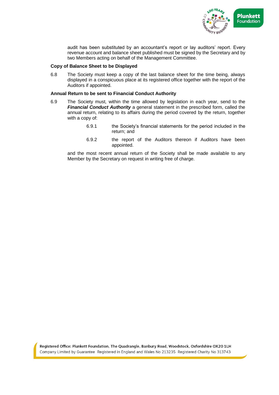

audit has been substituted by an accountant's report or lay auditors' report. Every revenue account and balance sheet published must be signed by the Secretary and by two Members acting on behalf of the Management Committee.

#### **Copy of Balance Sheet to be Displayed**

6.8 The Society must keep a copy of the last balance sheet for the time being, always displayed in a conspicuous place at its registered office together with the report of the Auditors if appointed.

#### **Annual Return to be sent to Financial Conduct Authority**

- 6.9 The Society must, within the time allowed by legislation in each year, send to the *Financial Conduct Authority* a general statement in the prescribed form, called the annual return, relating to its affairs during the period covered by the return, together with a copy of:
	- 6.9.1 the Society's financial statements for the period included in the return; and
	- 6.9.2 the report of the Auditors thereon if Auditors have been appointed.

and the most recent annual return of the Society shall be made available to any Member by the Secretary on request in writing free of charge.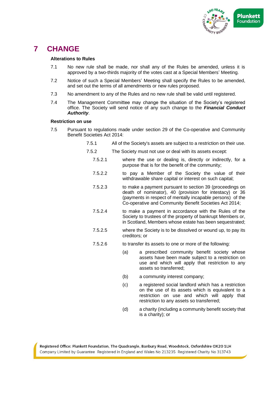

# **7 CHANGE**

#### **Alterations to Rules**

- 7.1 No new rule shall be made, nor shall any of the Rules be amended, unless it is approved by a two-thirds majority of the votes cast at a Special Members' Meeting.
- 7.2 Notice of such a Special Members' Meeting shall specify the Rules to be amended, and set out the terms of all amendments or new rules proposed.
- 7.3 No amendment to any of the Rules and no new rule shall be valid until registered.
- 7.4 The Management Committee may change the situation of the Society's registered office. The Society will send notice of any such change to the *Financial Conduct Authority*.

#### **Restriction on use**

- 7.5 Pursuant to regulations made under section 29 of the Co-operative and Community Benefit Societies Act 2014:
	- 7.5.1 All of the Society's assets are subject to a restriction on their use.
	- 7.5.2 The Society must not use or deal with its assets except:
		- 7.5.2.1 where the use or dealing is, directly or indirectly, for a purpose that is for the benefit of the community;
		- 7.5.2.2 to pay a Member of the Society the value of their withdrawable share capital or interest on such capital;
		- 7.5.2.3 to make a payment pursuant to section 39 (proceedings on death of nominator), 40 (provision for intestacy) or 36 (payments in respect of mentally incapable persons) of the Co-operative and Community Benefit Societies Act 2014;
		- 7.5.2.4 to make a payment in accordance with the Rules of the Society to trustees of the property of bankrupt Members or, in Scotland, Members whose estate has been sequestrated;
		- 7.5.2.5 where the Society is to be dissolved or wound up, to pay its creditors; or
		- 7.5.2.6 to transfer its assets to one or more of the following:
			- (a) a prescribed community benefit society whose assets have been made subject to a restriction on use and which will apply that restriction to any assets so transferred;
			- (b) a community interest company;
			- (c) a registered social landlord which has a restriction on the use of its assets which is equivalent to a restriction on use and which will apply that restriction to any assets so transferred;
			- (d) a charity (including a community benefit society that is a charity); or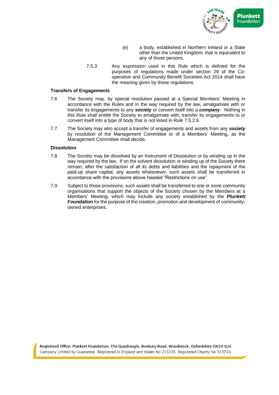

- (e) a body, established in Northern Ireland or a State other than the United Kingdom, that is equivalent to any of those persons.
- 7.5.3 Any expression used in this Rule which is defined for the purposes of regulations made under section 29 of the Cooperative and Community Benefit Societies Act 2014 shall have the meaning given by those regulations.

#### **Transfers of Engagements**

- 7.6 The Society may, by special resolution passed at a Special Members' Meeting in accordance with the Rules and in the way required by the law, amalgamate with or transfer its engagements to any *society* or convert itself into a *company*. Nothing in this Rule shall entitle the Society to amalgamate with, transfer its engagements to or convert itself into a type of body that is not listed in Rule 7.5.2.6.
- 7.7 The Society may also accept a transfer of engagements and assets from any *society* by resolution of the Management Committee or of a Members' Meeting, as the Management Committee shall decide.

#### **Dissolution**

- 7.8 The Society may be dissolved by an Instrument of Dissolution or by winding up in the way required by the law. If on the solvent dissolution or winding up of the Society there remain, after the satisfaction of all its debts and liabilities and the repayment of the paid-up share capital, any assets whatsoever, such assets shall be transferred in accordance with the provisions above headed "Restrictions on use".
- 7.9 Subject to those provisions, such assets shall be transferred to one or more community organisations that support the objects of the Society chosen by the Members at a Members' Meeting, which may include any society established by the *Plunkett Foundation* for the purpose of the creation, promotion and development of communityowned enterprises.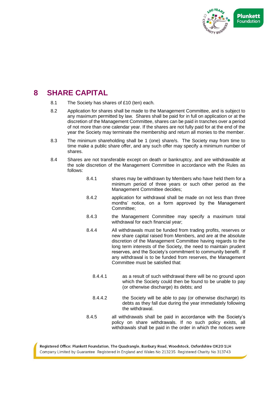

# **8 SHARE CAPITAL**

- 8.1 The Society has shares of £10 (ten) each.
- 8.2 Application for shares shall be made to the Management Committee, and is subject to any maximum permitted by law. Shares shall be paid for in full on application or at the discretion of the Management Committee, shares can be paid in tranches over a period of not more than one calendar year. If the shares are not fully paid for at the end of the year the Society may terminate the membership and return all monies to the member.
- 8.3 The minimum shareholding shall be 1 (one) share/s. The Society may from time to time make a public share offer, and any such offer may specify a minimum number of shares.
- 8.4 Shares are not transferable except on death or bankruptcy, and are withdrawable at the sole discretion of the Management Committee in accordance with the Rules as follows:
	- 8.4.1 shares may be withdrawn by Members who have held them for a minimum period of three years or such other period as the Management Committee decides;
	- 8.4.2 application for withdrawal shall be made on not less than three months' notice, on a form approved by the Management Committee;
	- 8.4.3 the Management Committee may specify a maximum total withdrawal for each financial year;
	- 8.4.4 All withdrawals must be funded from trading profits, reserves or new share capital raised from Members, and are at the absolute discretion of the Management Committee having regards to the long term interests of the Society, the need to maintain prudent reserves, and the Society's commitment to community benefit. If any withdrawal is to be funded from reserves, the Management Committee must be satisfied that:
		- 8.4.4.1 as a result of such withdrawal there will be no ground upon which the Society could then be found to be unable to pay (or otherwise discharge) its debts; and
		- 8.4.4.2 the Society will be able to pay (or otherwise discharge) its debts as they fall due during the year immediately following the withdrawal.
	- 8.4.5 all withdrawals shall be paid in accordance with the Society's policy on share withdrawals. If no such policy exists, all withdrawals shall be paid in the order in which the notices were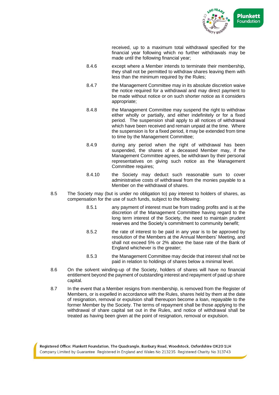

received, up to a maximum total withdrawal specified for the financial year following which no further withdrawals may be made until the following financial year;

- 8.4.6 except where a Member intends to terminate their membership, they shall not be permitted to withdraw shares leaving them with less than the minimum required by the Rules;
- 8.4.7 the Management Committee may in its absolute discretion waive the notice required for a withdrawal and may direct payment to be made without notice or on such shorter notice as it considers appropriate;
- 8.4.8 the Management Committee may suspend the right to withdraw either wholly or partially, and either indefinitely or for a fixed period. The suspension shall apply to all notices of withdrawal which have been received and remain unpaid at the time. Where the suspension is for a fixed period, it may be extended from time to time by the Management Committee;
- 8.4.9 during any period when the right of withdrawal has been suspended, the shares of a deceased Member may, if the Management Committee agrees, be withdrawn by their personal representatives on giving such notice as the Management Committee requires;
- 8.4.10 the Society may deduct such reasonable sum to cover administrative costs of withdrawal from the monies payable to a Member on the withdrawal of shares.
- 8.5 The Society may (but is under no obligation to) pay interest to holders of shares, as compensation for the use of such funds, subject to the following:
	- 8.5.1 any payment of interest must be from trading profits and is at the discretion of the Management Committee having regard to the long term interest of the Society, the need to maintain prudent reserves and the Society's commitment to community benefit;
	- 8.5.2 the rate of interest to be paid in any year is to be approved by resolution of the Members at the Annual Members' Meeting, and shall not exceed 5% or 2% above the base rate of the Bank of England whichever is the greater;
	- 8.5.3 the Management Committee may decide that interest shall not be paid in relation to holdings of shares below a minimal level.
- 8.6 On the solvent winding-up of the Society, holders of shares will have no financial entitlement beyond the payment of outstanding interest and repayment of paid up share capital.
- 8.7 In the event that a Member resigns from membership, is removed from the Register of Members, or is expelled in accordance with the Rules, shares held by them at the date of resignation, removal or expulsion shall thereupon become a loan, repayable to the former Member by the Society. The terms of repayment shall be those applying to the withdrawal of share capital set out in the Rules, and notice of withdrawal shall be treated as having been given at the point of resignation, removal or expulsion.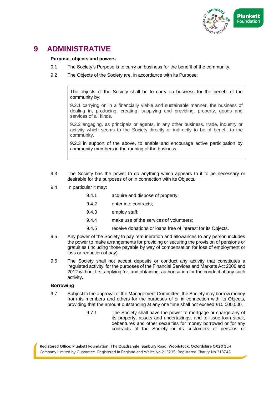

# **9 ADMINISTRATIVE**

## **Purpose, objects and powers**

- 9.1 The Society's Purpose is to carry on business for the benefit of the community.
- 9.2 The Objects of the Society are, in accordance with its Purpose:

The objects of the Society shall be to carry on business for the benefit of the community by:

9.2.1 carrying on in a financially viable and sustainable manner, the business of dealing in, producing, creating, supplying and providing, property, goods and services of all kinds.

9.2.2 engaging, as principals or agents, in any other business, trade, industry or activity which seems to the Society directly or indirectly to be of benefit to the community.

9.2.3 in support of the above, to enable and encourage active participation by community members in the running of the business.

- 9.3 The Society has the power to do anything which appears to it to be necessary or desirable for the purposes of or in connection with its Objects.
- 9.4 In particular it may:
	- 9.4.1 acquire and dispose of property;
	- 9.4.2 enter into contracts;
	- 9.4.3 employ staff;
	- 9.4.4 make use of the services of volunteers;
	- 9.4.5 receive donations or loans free of interest for its Objects.
- 9.5 Any power of the Society to pay remuneration and allowances to any person includes the power to make arrangements for providing or securing the provision of pensions or gratuities (including those payable by way of compensation for loss of employment or loss or reduction of pay).
- 9.6 The Society shall not accept deposits or conduct any activity that constitutes a 'regulated activity' for the purposes of the Financial Services and Markets Act 2000 and 2012 without first applying for, and obtaining, authorisation for the conduct of any such activity.

#### **Borrowing**

- 9.7 Subject to the approval of the Management Committee, the Society may borrow money from its members and others for the purposes of or in connection with its Objects, providing that the amount outstanding at any one time shall not exceed £10,000,000.
	- 9.7.1 The Society shall have the power to mortgage or charge any of its property, assets and undertakings, and to issue loan stock, debentures and other securities for money borrowed or for any contracts of the Society or its customers or persons or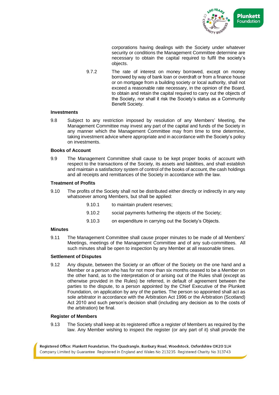

corporations having dealings with the Society under whatever security or conditions the Management Committee determine are necessary to obtain the capital required to fulfil the society's objects.

9.7.2 The rate of interest on money borrowed, except on money borrowed by way of bank loan or overdraft or from a finance house or on mortgage from a building society or local authority, shall not exceed a reasonable rate necessary, in the opinion of the Board, to obtain and retain the capital required to carry out the objects of the Society, nor shall it risk the Society's status as a Community Benefit Society.

#### **Investments**

9.8 Subject to any restriction imposed by resolution of any Members' Meeting, the Management Committee may invest any part of the capital and funds of the Society in any manner which the Management Committee may from time to time determine, taking investment advice where appropriate and in accordance with the Society's policy on investments.

#### **Books of Account**

9.9 The Management Committee shall cause to be kept proper books of account with respect to the transactions of the Society, its assets and liabilities, and shall establish and maintain a satisfactory system of control of the books of account, the cash holdings and all receipts and remittances of the Society in accordance with the law.

#### **Treatment of Profits**

9.10 The profits of the Society shall not be distributed either directly or indirectly in any way whatsoever among Members, but shall be applied:

| 9.10.1 | to maintain prudent reserves; |
|--------|-------------------------------|
|--------|-------------------------------|

- 9.10.2 social payments furthering the objects of the Society;
- 9.10.3 on expenditure in carrying out the Society's Objects.

#### **Minutes**

9.11 The Management Committee shall cause proper minutes to be made of all Members' Meetings, meetings of the Management Committee and of any sub-committees. All such minutes shall be open to inspection by any Member at all reasonable times.

#### **Settlement of Disputes**

9.12 Any dispute, between the Society or an officer of the Society on the one hand and a Member or a person who has for not more than six months ceased to be a Member on the other hand, as to the interpretation of or arising out of the Rules shall (except as otherwise provided in the Rules) be referred, in default of agreement between the parties to the dispute, to a person appointed by the Chief Executive of the Plunkett Foundation, on application by any of the parties. The person so appointed shall act as sole arbitrator in accordance with the Arbitration Act 1996 or the Arbitration (Scotland) Act 2010 and such person's decision shall (including any decision as to the costs of the arbitration) be final.

#### **Register of Members**

9.13 The Society shall keep at its registered office a register of Members as required by the law. Any Member wishing to inspect the register (or any part of it) shall provide the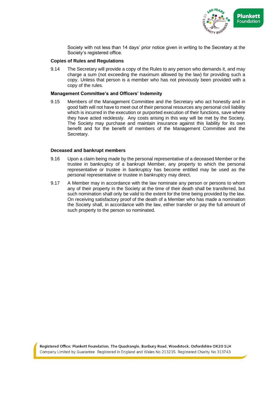

Society with not less than 14 days' prior notice given in writing to the Secretary at the Society's registered office.

#### **Copies of Rules and Regulations**

9.14 The Secretary will provide a copy of the Rules to any person who demands it, and may charge a sum (not exceeding the maximum allowed by the law) for providing such a copy. Unless that person is a member who has not previously been provided with a copy of the rules.

#### **Management Committee's and Officers' Indemnity**

9.15 Members of the Management Committee and the Secretary who act honestly and in good faith will not have to meet out of their personal resources any personal civil liability which is incurred in the execution or purported execution of their functions, save where they have acted recklessly. Any costs arising in this way will be met by the Society. The Society may purchase and maintain insurance against this liability for its own benefit and for the benefit of members of the Management Committee and the Secretary.

#### **Deceased and bankrupt members**

- 9.16 Upon a claim being made by the personal representative of a deceased Member or the trustee in bankruptcy of a bankrupt Member, any property to which the personal representative or trustee in bankruptcy has become entitled may be used as the personal representative or trustee in bankruptcy may direct.
- 9.17 A Member may in accordance with the law nominate any person or persons to whom any of their property in the Society at the time of their death shall be transferred, but such nomination shall only be valid to the extent for the time being provided by the law. On receiving satisfactory proof of the death of a Member who has made a nomination the Society shall, in accordance with the law, either transfer or pay the full amount of such property to the person so nominated.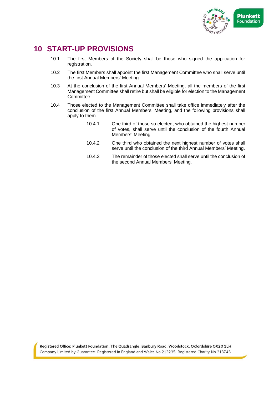

# **10 START-UP PROVISIONS**

- 10.1 The first Members of the Society shall be those who signed the application for registration.
- 10.2 The first Members shall appoint the first Management Committee who shall serve until the first Annual Members' Meeting.
- 10.3 At the conclusion of the first Annual Members' Meeting, all the members of the first Management Committee shall retire but shall be eligible for election to the Management Committee.
- 10.4 Those elected to the Management Committee shall take office immediately after the conclusion of the first Annual Members' Meeting, and the following provisions shall apply to them.
	- 10.4.1 One third of those so elected, who obtained the highest number of votes, shall serve until the conclusion of the fourth Annual Members' Meeting.
	- 10.4.2 One third who obtained the next highest number of votes shall serve until the conclusion of the third Annual Members' Meeting.
	- 10.4.3 The remainder of those elected shall serve until the conclusion of the second Annual Members' Meeting.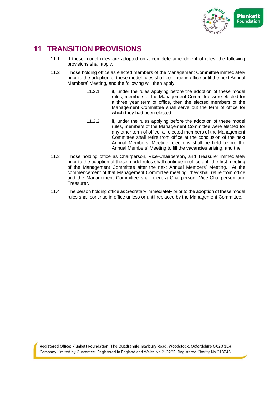

# **11 TRANSITION PROVISIONS**

- 11.1 If these model rules are adopted on a complete amendment of rules, the following provisions shall apply.
- 11.2 Those holding office as elected members of the Management Committee immediately prior to the adoption of these model rules shall continue in office until the next Annual Members' Meeting, and the following will then apply:
	- 11.2.1 if, under the rules applying before the adoption of these model rules, members of the Management Committee were elected for a three year term of office, then the elected members of the Management Committee shall serve out the term of office for which they had been elected;
	- 11.2.2 if, under the rules applying before the adoption of these model rules, members of the Management Committee were elected for any other term of office, all elected members of the Management Committee shall retire from office at the conclusion of the next Annual Members' Meeting; elections shall be held before the Annual Members' Meeting to fill the vacancies arising. and the
- 11.3 Those holding office as Chairperson, Vice-Chairperson, and Treasurer immediately prior to the adoption of these model rules shall continue in office until the first meeting of the Management Committee after the next Annual Members' Meeting. At the commencement of that Management Committee meeting, they shall retire from office and the Management Committee shall elect a Chairperson, Vice-Chairperson and **Treasurer**
- 11.4 The person holding office as Secretary immediately prior to the adoption of these model rules shall continue in office unless or until replaced by the Management Committee.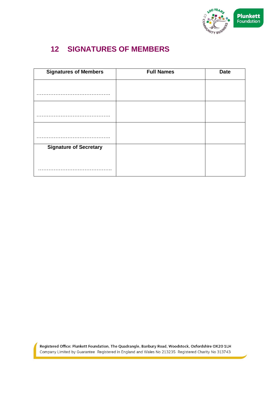

# **12 SIGNATURES OF MEMBERS**

| <b>Signatures of Members</b>  | <b>Full Names</b> | <b>Date</b> |
|-------------------------------|-------------------|-------------|
|                               |                   |             |
|                               |                   |             |
|                               |                   |             |
|                               |                   |             |
|                               |                   |             |
|                               |                   |             |
| <b>Signature of Secretary</b> |                   |             |
|                               |                   |             |
|                               |                   |             |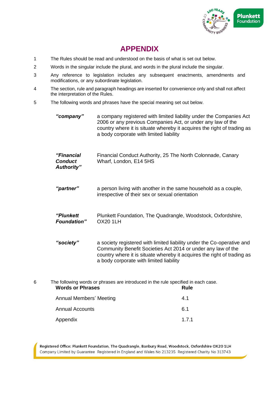

# **APPENDIX**

- 1 The Rules should be read and understood on the basis of what is set out below.
- 2 Words in the singular include the plural, and words in the plural include the singular.
- 3 Any reference to legislation includes any subsequent enactments, amendments and modifications, or any subordinate legislation.
- 4 The section, rule and paragraph headings are inserted for convenience only and shall not affect the interpretation of the Rules.
- 5 The following words and phrases have the special meaning set out below.

*"company"* a company registered with limited liability under the Companies Act 2006 or any previous Companies Act, or under any law of the country where it is situate whereby it acquires the right of trading as a body corporate with limited liability

| "Financial     | Financial Conduct Authority, 25 The North Colonnade, Canary |
|----------------|-------------------------------------------------------------|
| <b>Conduct</b> | Wharf, London, E14 5HS                                      |
| Authority"     |                                                             |

- *"partner"* a person living with another in the same household as a couple, irrespective of their sex or sexual orientation
- *"Plunkett Foundation"* Plunkett Foundation, The Quadrangle, Woodstock, Oxfordshire, OX20 1LH
- *"society"* a society registered with limited liability under the Co-operative and Community Benefit Societies Act 2014 or under any law of the country where it is situate whereby it acquires the right of trading as a body corporate with limited liability

6 The following words or phrases are introduced in the rule specified in each case. **Words or Phrases Rule** Annual Members' Meeting and Annual Members' Meeting and Annual Members and Annual Members and Annual Members a Annual Accounts 6.1 Appendix 1.7.1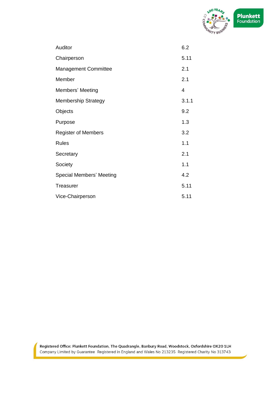

| Auditor                     | 6.2   |
|-----------------------------|-------|
| Chairperson                 | 5.11  |
| <b>Management Committee</b> | 2.1   |
| Member                      | 2.1   |
| Members' Meeting            | 4     |
| <b>Membership Strategy</b>  | 3.1.1 |
| Objects                     | 9.2   |
| Purpose                     | 1.3   |
| <b>Register of Members</b>  | 3.2   |
| <b>Rules</b>                | 1.1   |
| Secretary                   | 2.1   |
| Society                     | 1.1   |
| Special Members' Meeting    | 4.2   |
| <b>Treasurer</b>            | 5.11  |
| Vice-Chairperson            | 5.11  |
|                             |       |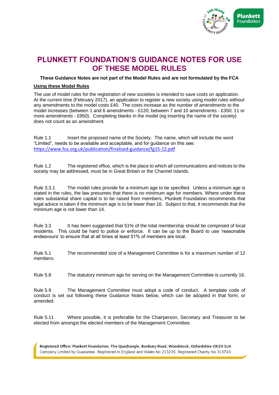

# **PLUNKETT FOUNDATION'S GUIDANCE NOTES FOR USE OF THESE MODEL RULES**

**These Guidance Notes are not part of the Model Rules and are not formulated by the FCA** 

#### **Using these Model Rules**

The use of model rules for the registration of new societies is intended to save costs on application. At the current time (February 2017), an application to register a new society using model rules without any amendments to the model costs £40. The costs increase as the number of amendments to the model increases (between 1 and 6 amendments - £120; between 7 and 10 amendments - £350; 11 or more amendments - £950). Completing blanks in the model (eg inserting the name of the society) does not count as an amendment*.*

Rule 1.1 Insert the proposed name of the Society. The name, which will include the word "Limited", needs to be available and acceptable, and for guidance on this see: <https://www.fca.org.uk/publication/finalised-guidance/fg15-12.pdf>

Rule 1.2 The registered office, which is the place to which all communications and notices to the society may be addressed, must be in Great Britain or the Channel Islands.

Rule 3.3.1 The model rules provide for a minimum age to be specified. Unless a minimum age is stated in the rules, the law presumes that there is no minimum age for members. Where under these rules substantial share capital is to be raised from members, Plunkett Foundation recommends that legal advice is taken if the minimum age is to be lower than 16. Subject to that, it recommends that the minimum age is not lower than 14.

Rule 3.3 It has been suggested that 51% of the total membership should be comprised of local residents. This could be hard to police or enforce. It can be up to the Board to use 'reasonable endeavours' to ensure that at all times at least 51% of members are local.

Rule 5.1 The recommended size of a Management Committee is for a maximum number of 12 members.

Rule 5.8 The statutory minimum age for serving on the Management Committee is currently 16.

Rule 5.9 The Management Committee must adopt a code of conduct. A template code of conduct is set out following these Guidance Notes below, which can be adopted in that form, or amended.

Rule 5.11 Where possible, it is preferable for the Chairperson, Secretary and Treasurer to be elected from amongst the elected members of the Management Committee.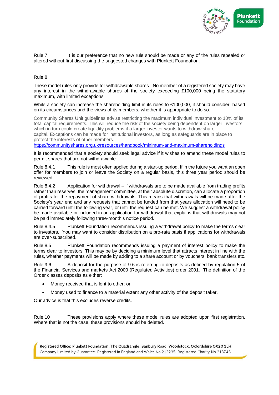

Rule 7 It is our preference that no new rule should be made or any of the rules repealed or altered without first discussing the suggested changes with Plunkett Foundation.

#### Rule 8

These model rules only provide for withdrawable shares. No member of a registered society may have any interest in the withdrawable shares of the society exceeding £100,000 being the statutory maximum, with limited exceptions

While a society can increase the shareholding limit in its rules to £100,000, it should consider, based on its circumstances and the views of its members, whether it is appropriate to do so.

Community Shares Unit guidelines advise restricting the maximum individual investment to 10% of its total capital requirements. This will reduce the risk of the society being dependent on larger investors, which in turn could create liquidity problems if a larger investor wants to withdraw share capital. Exceptions can be made for institutional investors, as long as safeguards are in place to protect the interests of other members.

<https://communityshares.org.uk/resources/handbook/minimum-and-maximum-shareholdings>

It is recommended that a society should seek legal advice if it wishes to amend these model rules to permit shares that are not withdrawable.

Rule 8.4.1 This rule is most often applied during a start-up period. If in the future you want an open offer for members to join or leave the Society on a regular basis, this three year period should be reviewed.

Rule 8.4.2 Application for withdrawal – if withdrawals are to be made available from trading profits rather than reserves, the management committee, at their absolute discretion, can allocate a proportion of profits for the repayment of share withdrawals. This means that withdrawals will be made after the Society's year end and any requests that cannot be funded from that years allocation will need to be carried forward until the following year, or until the request can be met. We suggest a withdrawal policy be made available or included in an application for withdrawal that explains that withdrawals may not be paid immediately following three-month's notice period.

Rule 8.4.5 Plunkett Foundation recommends issuing a withdrawal policy to make the terms clear to investors. You may want to consider distribution on a pro-rata basis if applications for withdrawals are over-subscribed.

Rule 8.5 Plunkett Foundation recommends issuing a payment of interest policy to make the terms clear to investors. This may be by deciding a minimum level that attracts interest in line with the rules, whether payments will be made by adding to a share account or by vouchers, bank transfers etc.

Rule 9.6 A deposit for the purpose of 9.6 is referring to deposits as defined by regulation 5 of the Financial Services and markets Act 2000 (Regulated Activities) order 2001. The definition of the Order classes deposits as either:

- Money received that is lent to other; or
- Money used to finance to a material extent any other activity of the deposit taker.

Our advice is that this excludes reverse credits.

Rule 10 These provisions apply where these model rules are adopted upon first registration. Where that is not the case, these provisions should be deleted.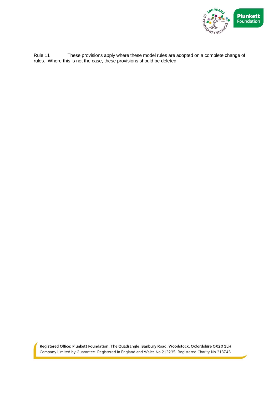

Rule 11 These provisions apply where these model rules are adopted on a complete change of rules. Where this is not the case, these provisions should be deleted.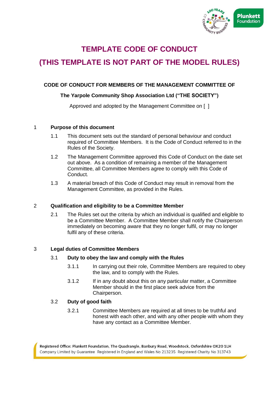

# **TEMPLATE CODE OF CONDUCT**

# **(THIS TEMPLATE IS NOT PART OF THE MODEL RULES)**

## **CODE OF CONDUCT FOR MEMBERS OF THE MANAGEMENT COMMITTEE OF**

## **The Yarpole Community Shop Association Ltd ("THE SOCIETY")**

Approved and adopted by the Management Committee on [ ]

## 1 **Purpose of this document**

- 1.1 This document sets out the standard of personal behaviour and conduct required of Committee Members. It is the Code of Conduct referred to in the Rules of the Society.
- 1.2 The Management Committee approved this Code of Conduct on the date set out above. As a condition of remaining a member of the Management Committee, all Committee Members agree to comply with this Code of Conduct.
- 1.3 A material breach of this Code of Conduct may result in removal from the Management Committee, as provided in the Rules.

## 2 **Qualification and eligibility to be a Committee Member**

2.1 The Rules set out the criteria by which an individual is qualified and eligible to be a Committee Member. A Committee Member shall notify the Chairperson immediately on becoming aware that they no longer fulfil, or may no longer fulfil any of these criteria.

## 3 **Legal duties of Committee Members**

## 3.1 **Duty to obey the law and comply with the Rules**

- 3.1.1 In carrying out their role, Committee Members are required to obey the law, and to comply with the Rules.
- 3.1.2 If in any doubt about this on any particular matter, a Committee Member should in the first place seek advice from the Chairperson.

## 3.2 **Duty of good faith**

3.2.1 Committee Members are required at all times to be truthful and honest with each other, and with any other people with whom they have any contact as a Committee Member.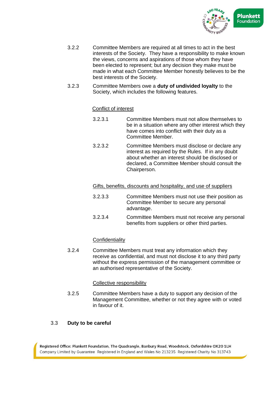

- 3.2.2 Committee Members are required at all times to act in the best interests of the Society. They have a responsibility to make known the views, concerns and aspirations of those whom they have been elected to represent; but any decision they make must be made in what each Committee Member honestly believes to be the best interests of the Society.
- 3.2.3 Committee Members owe a **duty of undivided loyalty** to the Society, which includes the following features.

## Conflict of interest

- 3.2.3.1 Committee Members must not allow themselves to be in a situation where any other interest which they have comes into conflict with their duty as a Committee Member.
- 3.2.3.2 Committee Members must disclose or declare any interest as required by the Rules. If in any doubt about whether an interest should be disclosed or declared, a Committee Member should consult the Chairperson.

Gifts, benefits, discounts and hospitality, and use of suppliers

- 3.2.3.3 Committee Members must not use their position as Committee Member to secure any personal advantage.
- 3.2.3.4 Committee Members must not receive any personal benefits from suppliers or other third parties.

## **Confidentiality**

3.2.4 Committee Members must treat any information which they receive as confidential, and must not disclose it to any third party without the express permission of the management committee or an authorised representative of the Society.

## Collective responsibility

3.2.5 Committee Members have a duty to support any decision of the Management Committee, whether or not they agree with or voted in favour of it.

## 3.3 **Duty to be careful**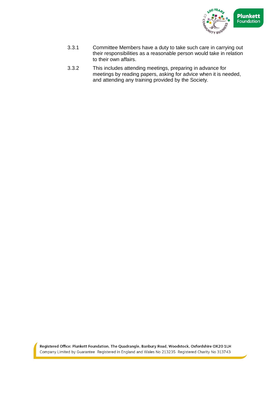

- 3.3.1 Committee Members have a duty to take such care in carrying out their responsibilities as a reasonable person would take in relation to their own affairs.
- 3.3.2 This includes attending meetings, preparing in advance for meetings by reading papers, asking for advice when it is needed, and attending any training provided by the Society.